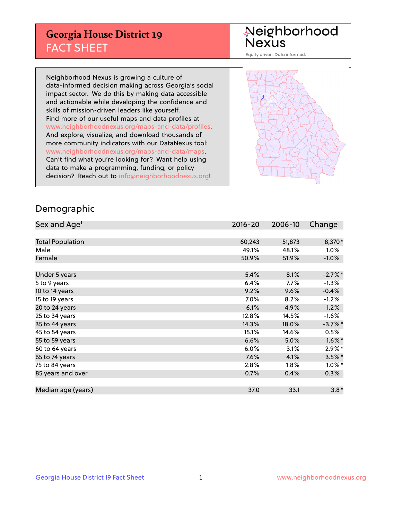## **Georgia House District 19** FACT SHEET

# Neighborhood<br>Nexus

Equity driven. Data informed.

Neighborhood Nexus is growing a culture of data-informed decision making across Georgia's social impact sector. We do this by making data accessible and actionable while developing the confidence and skills of mission-driven leaders like yourself. Find more of our useful maps and data profiles at www.neighborhoodnexus.org/maps-and-data/profiles. And explore, visualize, and download thousands of more community indicators with our DataNexus tool: www.neighborhoodnexus.org/maps-and-data/maps. Can't find what you're looking for? Want help using data to make a programming, funding, or policy decision? Reach out to [info@neighborhoodnexus.org!](mailto:info@neighborhoodnexus.org)



### Demographic

| Sex and Age <sup>1</sup> | $2016 - 20$ | 2006-10 | Change    |
|--------------------------|-------------|---------|-----------|
|                          |             |         |           |
| <b>Total Population</b>  | 60,243      | 51,873  | 8,370*    |
| Male                     | 49.1%       | 48.1%   | $1.0\%$   |
| Female                   | 50.9%       | 51.9%   | $-1.0\%$  |
|                          |             |         |           |
| Under 5 years            | 5.4%        | 8.1%    | $-2.7%$ * |
| 5 to 9 years             | 6.4%        | $7.7\%$ | $-1.3%$   |
| 10 to 14 years           | 9.2%        | 9.6%    | $-0.4%$   |
| 15 to 19 years           | 7.0%        | 8.2%    | $-1.2%$   |
| 20 to 24 years           | 6.1%        | 4.9%    | 1.2%      |
| 25 to 34 years           | 12.8%       | 14.5%   | $-1.6\%$  |
| 35 to 44 years           | 14.3%       | 18.0%   | $-3.7%$ * |
| 45 to 54 years           | 15.1%       | 14.6%   | 0.5%      |
| 55 to 59 years           | 6.6%        | 5.0%    | $1.6\%$ * |
| 60 to 64 years           | 6.0%        | 3.1%    | $2.9\%*$  |
| 65 to 74 years           | 7.6%        | 4.1%    | $3.5\%$ * |
| 75 to 84 years           | 2.8%        | $1.8\%$ | $1.0\%$ * |
| 85 years and over        | 0.7%        | 0.4%    | 0.3%      |
|                          |             |         |           |
| Median age (years)       | 37.0        | 33.1    | $3.8*$    |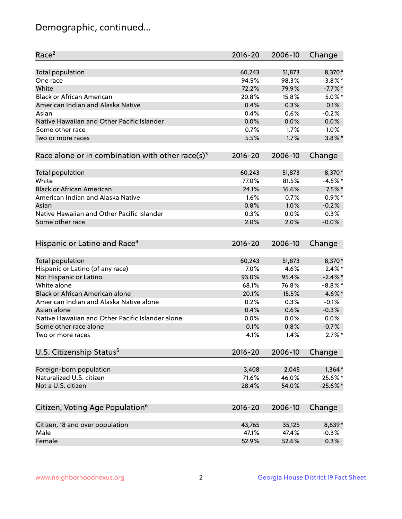## Demographic, continued...

| Race <sup>2</sup>                                            | $2016 - 20$ | 2006-10 | Change     |
|--------------------------------------------------------------|-------------|---------|------------|
| <b>Total population</b>                                      | 60,243      | 51,873  | 8,370*     |
| One race                                                     | 94.5%       | 98.3%   | $-3.8\%$ * |
| White                                                        | 72.2%       | 79.9%   | $-7.7%$ *  |
| <b>Black or African American</b>                             | 20.8%       | 15.8%   | $5.0\%$ *  |
| American Indian and Alaska Native                            | 0.4%        | 0.3%    | 0.1%       |
| Asian                                                        | 0.4%        | 0.6%    | $-0.2%$    |
| Native Hawaiian and Other Pacific Islander                   | 0.0%        | 0.0%    | 0.0%       |
| Some other race                                              | 0.7%        | 1.7%    | $-1.0%$    |
| Two or more races                                            | 5.5%        | 1.7%    | $3.8\%$ *  |
| Race alone or in combination with other race(s) <sup>3</sup> | $2016 - 20$ | 2006-10 | Change     |
| Total population                                             | 60,243      | 51,873  | 8,370*     |
| White                                                        | 77.0%       | 81.5%   | $-4.5%$ *  |
| <b>Black or African American</b>                             | 24.1%       | 16.6%   | $7.5%$ *   |
| American Indian and Alaska Native                            | 1.6%        | 0.7%    | $0.9\%$ *  |
| Asian                                                        | 0.8%        | 1.0%    | $-0.2%$    |
| Native Hawaiian and Other Pacific Islander                   | 0.3%        | 0.0%    | 0.3%       |
| Some other race                                              | 2.0%        | 2.0%    | $-0.0%$    |
| Hispanic or Latino and Race <sup>4</sup>                     | $2016 - 20$ | 2006-10 | Change     |
| <b>Total population</b>                                      | 60,243      | 51,873  | 8,370*     |
| Hispanic or Latino (of any race)                             | 7.0%        | 4.6%    | $2.4\%$ *  |
| Not Hispanic or Latino                                       | 93.0%       | 95.4%   | $-2.4\%$ * |
| White alone                                                  | 68.1%       | 76.8%   | $-8.8\%$ * |
| Black or African American alone                              | 20.1%       | 15.5%   | 4.6%*      |
| American Indian and Alaska Native alone                      | 0.2%        | 0.3%    | $-0.1%$    |
| Asian alone                                                  | 0.4%        | 0.6%    | $-0.3%$    |
| Native Hawaiian and Other Pacific Islander alone             | $0.0\%$     | 0.0%    | $0.0\%$    |
| Some other race alone                                        | 0.1%        | 0.8%    | $-0.7%$    |
| Two or more races                                            | 4.1%        | 1.4%    | $2.7\%$ *  |
| U.S. Citizenship Status <sup>5</sup>                         | $2016 - 20$ | 2006-10 | Change     |
| Foreign-born population                                      | 3,408       | 2,045   | $1,364*$   |
| Naturalized U.S. citizen                                     | 71.6%       | 46.0%   | 25.6%*     |
| Not a U.S. citizen                                           | 28.4%       | 54.0%   | $-25.6%$   |
|                                                              |             |         |            |
| Citizen, Voting Age Population <sup>6</sup>                  | 2016-20     | 2006-10 | Change     |
| Citizen, 18 and over population                              | 43,765      | 35,125  | 8,639*     |
| Male                                                         | 47.1%       | 47.4%   | $-0.3%$    |
| Female                                                       | 52.9%       | 52.6%   | 0.3%       |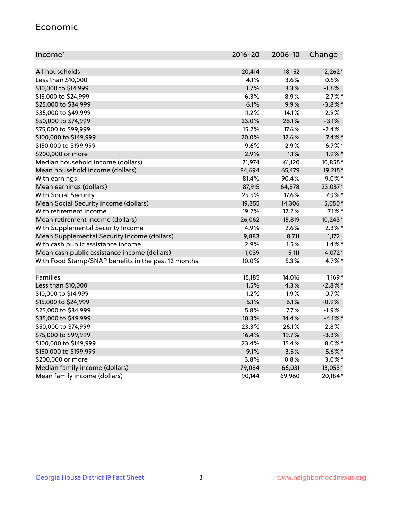#### Economic

| Income <sup>7</sup>                                 | $2016 - 20$ | 2006-10 | Change     |
|-----------------------------------------------------|-------------|---------|------------|
|                                                     |             |         |            |
| All households                                      | 20,414      | 18,152  | $2,262*$   |
| Less than \$10,000                                  | 4.1%        | 3.6%    | 0.5%       |
| \$10,000 to \$14,999                                | 1.7%        | 3.3%    | $-1.6%$    |
| \$15,000 to \$24,999                                | 6.3%        | 8.9%    | $-2.7%$ *  |
| \$25,000 to \$34,999                                | 6.1%        | 9.9%    | $-3.8\%$ * |
| \$35,000 to \$49,999                                | 11.2%       | 14.1%   | $-2.9%$    |
| \$50,000 to \$74,999                                | 23.0%       | 26.1%   | $-3.1%$    |
| \$75,000 to \$99,999                                | 15.2%       | 17.6%   | $-2.4%$    |
| \$100,000 to \$149,999                              | 20.0%       | 12.6%   | $7.4\%$ *  |
| \$150,000 to \$199,999                              | 9.6%        | 2.9%    | $6.7\%$ *  |
| \$200,000 or more                                   | 2.9%        | 1.1%    | $1.9\%$ *  |
| Median household income (dollars)                   | 71,974      | 61,120  | 10,855*    |
| Mean household income (dollars)                     | 84,694      | 65,479  | 19,215*    |
| With earnings                                       | 81.4%       | 90.4%   | $-9.0\%$ * |
| Mean earnings (dollars)                             | 87,915      | 64,878  | 23,037*    |
| <b>With Social Security</b>                         | 25.5%       | 17.6%   | $7.9\%$ *  |
| Mean Social Security income (dollars)               | 19,355      | 14,306  | 5,050*     |
| With retirement income                              | 19.2%       | 12.2%   | $7.1\%$ *  |
| Mean retirement income (dollars)                    | 26,062      | 15,819  | 10,243*    |
| With Supplemental Security Income                   | 4.9%        | 2.6%    | $2.3\%$ *  |
| Mean Supplemental Security Income (dollars)         | 9,883       | 8,711   | 1,172      |
| With cash public assistance income                  | 2.9%        | 1.5%    | $1.4\%$ *  |
| Mean cash public assistance income (dollars)        | 1,039       | 5,111   | $-4,072*$  |
| With Food Stamp/SNAP benefits in the past 12 months | 10.0%       | 5.3%    | 4.7%*      |
|                                                     |             |         |            |
| Families                                            | 15,185      | 14,016  | $1,169*$   |
| Less than \$10,000                                  | 1.5%        | 4.3%    | $-2.8\%$ * |
| \$10,000 to \$14,999                                | 1.2%        | 1.9%    | $-0.7%$    |
| \$15,000 to \$24,999                                | 5.1%        | 6.1%    | $-0.9%$    |
| \$25,000 to \$34,999                                | 5.8%        | 7.7%    | $-1.9%$    |
| \$35,000 to \$49,999                                | 10.3%       | 14.4%   | $-4.1\%$ * |
| \$50,000 to \$74,999                                | 23.3%       | 26.1%   | $-2.8%$    |
| \$75,000 to \$99,999                                | 16.4%       | 19.7%   | $-3.3%$    |
| \$100,000 to \$149,999                              | 23.4%       | 15.4%   | $8.0\%$ *  |
| \$150,000 to \$199,999                              | 9.1%        | 3.5%    | $5.6\%$ *  |
| \$200,000 or more                                   | 3.8%        | 0.8%    | $3.0\%$ *  |
| Median family income (dollars)                      | 79,084      | 66,031  | 13,053*    |
| Mean family income (dollars)                        | 90,144      | 69,960  | 20,184*    |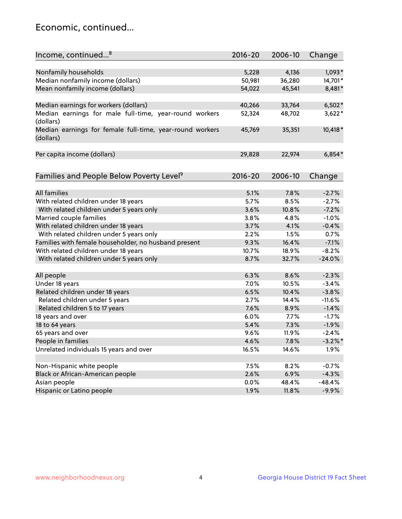## Economic, continued...

| Income, continued <sup>8</sup>                                        | $2016 - 20$ | 2006-10 | Change     |
|-----------------------------------------------------------------------|-------------|---------|------------|
|                                                                       |             |         |            |
| Nonfamily households                                                  | 5,228       | 4,136   | $1,093*$   |
| Median nonfamily income (dollars)                                     | 50,981      | 36,280  | 14,701*    |
| Mean nonfamily income (dollars)                                       | 54,022      | 45,541  | 8,481*     |
| Median earnings for workers (dollars)                                 | 40,266      | 33,764  | $6,502*$   |
| Median earnings for male full-time, year-round workers                | 52,324      | 48,702  | $3,622*$   |
| (dollars)                                                             |             |         |            |
| Median earnings for female full-time, year-round workers<br>(dollars) | 45,769      | 35,351  | 10,418 *   |
| Per capita income (dollars)                                           | 29,828      | 22,974  | $6,854*$   |
|                                                                       |             |         |            |
| Families and People Below Poverty Level <sup>9</sup>                  | 2016-20     | 2006-10 | Change     |
|                                                                       |             |         |            |
| <b>All families</b>                                                   | 5.1%        | 7.8%    | $-2.7%$    |
| With related children under 18 years                                  | 5.7%        | 8.5%    | $-2.7%$    |
| With related children under 5 years only                              | 3.6%        | 10.8%   | $-7.2%$    |
| Married couple families                                               | 3.8%        | 4.8%    | $-1.0%$    |
| With related children under 18 years                                  | 3.7%        | 4.1%    | $-0.4%$    |
| With related children under 5 years only                              | 2.2%        | 1.5%    | 0.7%       |
| Families with female householder, no husband present                  | 9.3%        | 16.4%   | $-7.1%$    |
| With related children under 18 years                                  | 10.7%       | 18.9%   | $-8.2%$    |
| With related children under 5 years only                              | 8.7%        | 32.7%   | $-24.0%$   |
|                                                                       |             |         |            |
| All people                                                            | 6.3%        | 8.6%    | $-2.3%$    |
| Under 18 years                                                        | 7.0%        | 10.5%   | $-3.4%$    |
| Related children under 18 years                                       | 6.5%        | 10.4%   | $-3.8%$    |
| Related children under 5 years                                        | 2.7%        | 14.4%   | $-11.6%$   |
| Related children 5 to 17 years                                        | 7.6%        | 8.9%    | $-1.4%$    |
| 18 years and over                                                     | 6.0%        | 7.7%    | $-1.7%$    |
| 18 to 64 years                                                        | 5.4%        | 7.3%    | $-1.9%$    |
| 65 years and over                                                     | 9.6%        | 11.9%   | $-2.4%$    |
| People in families                                                    | 4.6%        | 7.8%    | $-3.2\%$ * |
| Unrelated individuals 15 years and over                               | 16.5%       | 14.6%   | 1.9%       |
|                                                                       |             |         |            |
| Non-Hispanic white people                                             | 7.5%        | 8.2%    | $-0.7%$    |
| Black or African-American people                                      | 2.6%        | 6.9%    | $-4.3%$    |
| Asian people                                                          | $0.0\%$     | 48.4%   | $-48.4%$   |
| Hispanic or Latino people                                             | 1.9%        | 11.8%   | $-9.9%$    |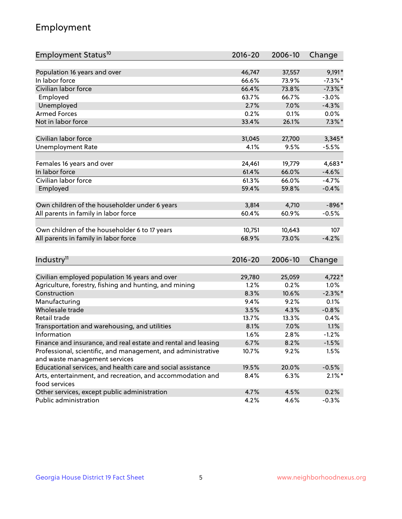## Employment

| Employment Status <sup>10</sup>                                             | $2016 - 20$    | 2006-10        | Change     |
|-----------------------------------------------------------------------------|----------------|----------------|------------|
|                                                                             |                |                |            |
| Population 16 years and over                                                | 46,747         | 37,557         | $9,191*$   |
| In labor force                                                              | 66.6%          | 73.9%          | $-7.3\%$ * |
| Civilian labor force                                                        | 66.4%          | 73.8%          | $-7.3\%$ * |
| Employed                                                                    | 63.7%          | 66.7%          | $-3.0%$    |
| Unemployed                                                                  | 2.7%           | 7.0%           | $-4.3%$    |
| <b>Armed Forces</b>                                                         | 0.2%           | 0.1%           | 0.0%       |
| Not in labor force                                                          | 33.4%          | 26.1%          | $7.3\%$ *  |
| Civilian labor force                                                        | 31,045         | 27,700         | $3,345*$   |
| <b>Unemployment Rate</b>                                                    | 4.1%           | 9.5%           | $-5.5%$    |
|                                                                             |                |                |            |
| Females 16 years and over                                                   | 24,461         | 19,779         | $4,683*$   |
| In labor force                                                              | 61.4%          | 66.0%          | $-4.6%$    |
| Civilian labor force                                                        | 61.3%          | 66.0%          | $-4.7%$    |
| Employed                                                                    | 59.4%          | 59.8%          | $-0.4%$    |
|                                                                             |                |                |            |
| Own children of the householder under 6 years                               | 3,814<br>60.4% | 4,710<br>60.9% | $-896*$    |
| All parents in family in labor force                                        |                |                | $-0.5%$    |
| Own children of the householder 6 to 17 years                               | 10,751         | 10,643         | 107        |
| All parents in family in labor force                                        | 68.9%          | 73.0%          | $-4.2%$    |
|                                                                             |                |                |            |
| Industry <sup>11</sup>                                                      | $2016 - 20$    | 2006-10        | Change     |
|                                                                             |                |                |            |
| Civilian employed population 16 years and over                              | 29,780         | 25,059         | $4,722*$   |
| Agriculture, forestry, fishing and hunting, and mining                      | 1.2%           | 0.2%           | $1.0\%$    |
| Construction                                                                | 8.3%           | 10.6%          | $-2.3\%$ * |
| Manufacturing                                                               | 9.4%           | 9.2%           | 0.1%       |
| Wholesale trade                                                             | 3.5%           | 4.3%           | $-0.8%$    |
| Retail trade                                                                | 13.7%          | 13.3%          | 0.4%       |
| Transportation and warehousing, and utilities                               | 8.1%           | 7.0%           | 1.1%       |
| Information                                                                 | 1.6%           | 2.8%           | $-1.2%$    |
| Finance and insurance, and real estate and rental and leasing               | 6.7%           | 8.2%           | $-1.5%$    |
| Professional, scientific, and management, and administrative                | 10.7%          | 9.2%           | 1.5%       |
| and waste management services                                               |                |                |            |
| Educational services, and health care and social assistance                 | 19.5%          | 20.0%          | $-0.5%$    |
| Arts, entertainment, and recreation, and accommodation and<br>food services | 8.4%           | 6.3%           | $2.1\%$ *  |
| Other services, except public administration                                | 4.7%           | 4.5%           | 0.2%       |
| Public administration                                                       | 4.2%           | 4.6%           | $-0.3%$    |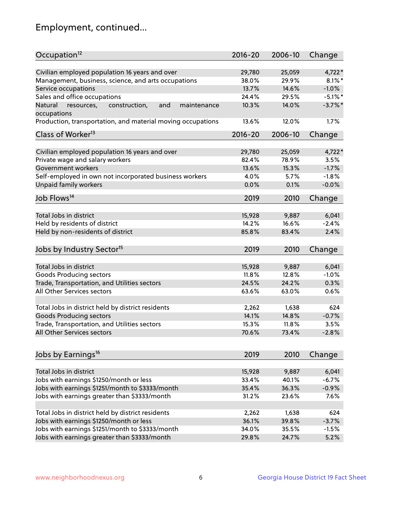## Employment, continued...

| Occupation <sup>12</sup>                                                    | $2016 - 20$ | 2006-10 | Change     |
|-----------------------------------------------------------------------------|-------------|---------|------------|
| Civilian employed population 16 years and over                              | 29,780      | 25,059  | $4,722*$   |
| Management, business, science, and arts occupations                         | 38.0%       | 29.9%   | $8.1\%$ *  |
| Service occupations                                                         | 13.7%       | 14.6%   | $-1.0%$    |
| Sales and office occupations                                                | 24.4%       | 29.5%   | $-5.1\%$ * |
|                                                                             |             |         |            |
| and<br>Natural<br>resources,<br>construction,<br>maintenance<br>occupations | 10.3%       | 14.0%   | $-3.7\%$ * |
| Production, transportation, and material moving occupations                 | 13.6%       | 12.0%   | 1.7%       |
| Class of Worker <sup>13</sup>                                               | $2016 - 20$ | 2006-10 | Change     |
|                                                                             |             |         |            |
| Civilian employed population 16 years and over                              | 29,780      | 25,059  | $4,722*$   |
| Private wage and salary workers                                             | 82.4%       | 78.9%   | 3.5%       |
| Government workers                                                          | 13.6%       | 15.3%   | $-1.7%$    |
| Self-employed in own not incorporated business workers                      | 4.0%        | 5.7%    | $-1.8%$    |
| Unpaid family workers                                                       | 0.0%        | 0.1%    | $-0.0%$    |
| Job Flows <sup>14</sup>                                                     | 2019        | 2010    | Change     |
|                                                                             |             |         |            |
| Total Jobs in district                                                      | 15,928      | 9,887   | 6,041      |
| Held by residents of district                                               | 14.2%       | 16.6%   | $-2.4%$    |
| Held by non-residents of district                                           | 85.8%       | 83.4%   | 2.4%       |
| Jobs by Industry Sector <sup>15</sup>                                       | 2019        | 2010    | Change     |
|                                                                             |             |         |            |
| Total Jobs in district                                                      | 15,928      | 9,887   | 6,041      |
| Goods Producing sectors                                                     | 11.8%       | 12.8%   | $-1.0%$    |
| Trade, Transportation, and Utilities sectors                                | 24.5%       | 24.2%   | 0.3%       |
| All Other Services sectors                                                  | 63.6%       | 63.0%   | 0.6%       |
|                                                                             |             |         |            |
| Total Jobs in district held by district residents                           | 2,262       | 1,638   | 624        |
| <b>Goods Producing sectors</b>                                              | 14.1%       | 14.8%   | $-0.7%$    |
| Trade, Transportation, and Utilities sectors                                | 15.3%       | 11.8%   | 3.5%       |
| All Other Services sectors                                                  | 70.6%       | 73.4%   | $-2.8%$    |
|                                                                             |             |         |            |
| Jobs by Earnings <sup>16</sup>                                              | 2019        | 2010    | Change     |
|                                                                             |             |         |            |
| Total Jobs in district                                                      | 15,928      | 9,887   | 6,041      |
| Jobs with earnings \$1250/month or less                                     | 33.4%       | 40.1%   | $-6.7%$    |
| Jobs with earnings \$1251/month to \$3333/month                             | 35.4%       | 36.3%   | $-0.9%$    |
| Jobs with earnings greater than \$3333/month                                | 31.2%       | 23.6%   | 7.6%       |
| Total Jobs in district held by district residents                           | 2,262       | 1,638   | 624        |
| Jobs with earnings \$1250/month or less                                     | 36.1%       | 39.8%   | $-3.7%$    |
| Jobs with earnings \$1251/month to \$3333/month                             | 34.0%       | 35.5%   | $-1.5%$    |
| Jobs with earnings greater than \$3333/month                                | 29.8%       | 24.7%   | 5.2%       |
|                                                                             |             |         |            |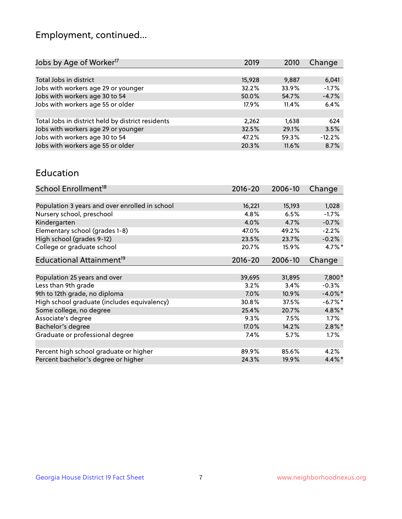## Employment, continued...

| Jobs by Age of Worker <sup>17</sup>               | 2019   | 2010  | Change   |
|---------------------------------------------------|--------|-------|----------|
|                                                   |        |       |          |
| Total Jobs in district                            | 15,928 | 9,887 | 6,041    |
| Jobs with workers age 29 or younger               | 32.2%  | 33.9% | $-1.7%$  |
| Jobs with workers age 30 to 54                    | 50.0%  | 54.7% | $-4.7%$  |
| Jobs with workers age 55 or older                 | 17.9%  | 11.4% | 6.4%     |
|                                                   |        |       |          |
| Total Jobs in district held by district residents | 2,262  | 1,638 | 624      |
| Jobs with workers age 29 or younger               | 32.5%  | 29.1% | 3.5%     |
| Jobs with workers age 30 to 54                    | 47.2%  | 59.3% | $-12.2%$ |
| Jobs with workers age 55 or older                 | 20.3%  | 11.6% | 8.7%     |
|                                                   |        |       |          |

#### Education

| School Enrollment <sup>18</sup>                | $2016 - 20$ | 2006-10 | Change     |
|------------------------------------------------|-------------|---------|------------|
|                                                |             |         |            |
| Population 3 years and over enrolled in school | 16,221      | 15,193  | 1,028      |
| Nursery school, preschool                      | 4.8%        | 6.5%    | $-1.7%$    |
| Kindergarten                                   | 4.0%        | 4.7%    | $-0.7%$    |
| Elementary school (grades 1-8)                 | 47.0%       | 49.2%   | $-2.2%$    |
| High school (grades 9-12)                      | 23.5%       | 23.7%   | $-0.2%$    |
| College or graduate school                     | 20.7%       | 15.9%   | 4.7%*      |
| Educational Attainment <sup>19</sup>           | $2016 - 20$ | 2006-10 | Change     |
|                                                |             |         |            |
| Population 25 years and over                   | 39,695      | 31,895  | 7,800*     |
| Less than 9th grade                            | 3.2%        | 3.4%    | $-0.3%$    |
| 9th to 12th grade, no diploma                  | $7.0\%$     | 10.9%   | $-4.0\%$ * |
| High school graduate (includes equivalency)    | 30.8%       | 37.5%   | $-6.7%$ *  |
| Some college, no degree                        | 25.4%       | 20.7%   | 4.8%*      |
| Associate's degree                             | 9.3%        | 7.5%    | $1.7\%$    |
| Bachelor's degree                              | 17.0%       | 14.2%   | $2.8\%$ *  |
| Graduate or professional degree                | 7.4%        | $5.7\%$ | $1.7\%$    |
|                                                |             |         |            |
| Percent high school graduate or higher         | 89.9%       | 85.6%   | 4.2%       |
| Percent bachelor's degree or higher            | 24.3%       | 19.9%   | $4.4\%$ *  |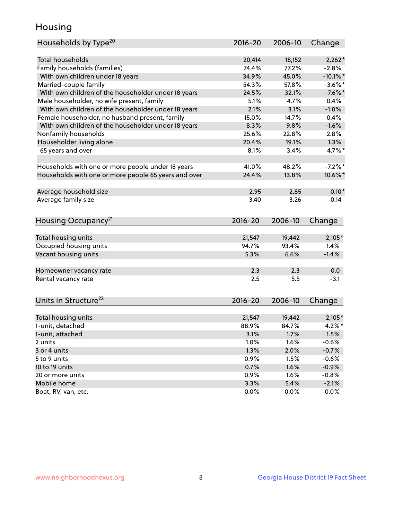## Housing

| <b>Total households</b><br>20,414<br>18,152<br>$2,262*$<br>Family households (families)<br>74.4%<br>77.2%<br>$-2.8%$<br>34.9%<br>45.0%<br>$-10.1\%$ *<br>With own children under 18 years<br>Married-couple family<br>$-3.6\%$ *<br>54.3%<br>57.8%<br>With own children of the householder under 18 years<br>24.5%<br>$-7.6%$ *<br>32.1%<br>Male householder, no wife present, family<br>5.1%<br>4.7%<br>0.4%<br>With own children of the householder under 18 years<br>2.1%<br>$-1.0%$<br>3.1%<br>Female householder, no husband present, family<br>15.0%<br>14.7%<br>0.4%<br>With own children of the householder under 18 years<br>8.3%<br>$-1.6%$<br>9.8%<br>Nonfamily households<br>25.6%<br>22.8%<br>2.8%<br>Householder living alone<br>20.4%<br>19.1%<br>1.3%<br>3.4%<br>4.7%*<br>65 years and over<br>8.1%<br>$-7.2%$ *<br>Households with one or more people under 18 years<br>41.0%<br>48.2%<br>Households with one or more people 65 years and over<br>24.4%<br>13.8%<br>10.6%*<br>$0.10*$<br>Average household size<br>2.95<br>2.85<br>Average family size<br>3.40<br>3.26<br>0.14<br>Housing Occupancy <sup>21</sup><br>$2016 - 20$<br>2006-10<br>Change<br>Total housing units<br>21,547<br>19,442<br>$2,105*$<br>Occupied housing units<br>94.7%<br>1.4%<br>93.4%<br>Vacant housing units<br>6.6%<br>$-1.4%$<br>5.3%<br>2.3<br>2.3<br>0.0<br>Homeowner vacancy rate<br>Rental vacancy rate<br>2.5<br>5.5<br>$-3.1$<br>Units in Structure <sup>22</sup><br>2006-10<br>2016-20<br>Change<br>Total housing units<br>21,547<br>19,442<br>$2,105*$<br>$4.2\%$ *<br>1-unit, detached<br>88.9%<br>84.7%<br>3.1%<br>1.7%<br>1.5%<br>1-unit, attached<br>1.0%<br>1.6%<br>$-0.6%$<br>2 units<br>1.3%<br>2.0%<br>3 or 4 units<br>$-0.7%$<br>0.9%<br>5 to 9 units<br>1.5%<br>$-0.6%$<br>10 to 19 units<br>0.7%<br>1.6%<br>$-0.9%$<br>0.9%<br>20 or more units<br>1.6%<br>$-0.8%$<br>Mobile home<br>3.3%<br>5.4%<br>$-2.1%$ | Households by Type <sup>20</sup> | 2016-20 | 2006-10 | Change |
|--------------------------------------------------------------------------------------------------------------------------------------------------------------------------------------------------------------------------------------------------------------------------------------------------------------------------------------------------------------------------------------------------------------------------------------------------------------------------------------------------------------------------------------------------------------------------------------------------------------------------------------------------------------------------------------------------------------------------------------------------------------------------------------------------------------------------------------------------------------------------------------------------------------------------------------------------------------------------------------------------------------------------------------------------------------------------------------------------------------------------------------------------------------------------------------------------------------------------------------------------------------------------------------------------------------------------------------------------------------------------------------------------------------------------------------------------------------------------------------------------------------------------------------------------------------------------------------------------------------------------------------------------------------------------------------------------------------------------------------------------------------------------------------------------------------------------------------------------------------------------------------------------------------------------------|----------------------------------|---------|---------|--------|
|                                                                                                                                                                                                                                                                                                                                                                                                                                                                                                                                                                                                                                                                                                                                                                                                                                                                                                                                                                                                                                                                                                                                                                                                                                                                                                                                                                                                                                                                                                                                                                                                                                                                                                                                                                                                                                                                                                                                |                                  |         |         |        |
|                                                                                                                                                                                                                                                                                                                                                                                                                                                                                                                                                                                                                                                                                                                                                                                                                                                                                                                                                                                                                                                                                                                                                                                                                                                                                                                                                                                                                                                                                                                                                                                                                                                                                                                                                                                                                                                                                                                                |                                  |         |         |        |
|                                                                                                                                                                                                                                                                                                                                                                                                                                                                                                                                                                                                                                                                                                                                                                                                                                                                                                                                                                                                                                                                                                                                                                                                                                                                                                                                                                                                                                                                                                                                                                                                                                                                                                                                                                                                                                                                                                                                |                                  |         |         |        |
|                                                                                                                                                                                                                                                                                                                                                                                                                                                                                                                                                                                                                                                                                                                                                                                                                                                                                                                                                                                                                                                                                                                                                                                                                                                                                                                                                                                                                                                                                                                                                                                                                                                                                                                                                                                                                                                                                                                                |                                  |         |         |        |
|                                                                                                                                                                                                                                                                                                                                                                                                                                                                                                                                                                                                                                                                                                                                                                                                                                                                                                                                                                                                                                                                                                                                                                                                                                                                                                                                                                                                                                                                                                                                                                                                                                                                                                                                                                                                                                                                                                                                |                                  |         |         |        |
|                                                                                                                                                                                                                                                                                                                                                                                                                                                                                                                                                                                                                                                                                                                                                                                                                                                                                                                                                                                                                                                                                                                                                                                                                                                                                                                                                                                                                                                                                                                                                                                                                                                                                                                                                                                                                                                                                                                                |                                  |         |         |        |
|                                                                                                                                                                                                                                                                                                                                                                                                                                                                                                                                                                                                                                                                                                                                                                                                                                                                                                                                                                                                                                                                                                                                                                                                                                                                                                                                                                                                                                                                                                                                                                                                                                                                                                                                                                                                                                                                                                                                |                                  |         |         |        |
|                                                                                                                                                                                                                                                                                                                                                                                                                                                                                                                                                                                                                                                                                                                                                                                                                                                                                                                                                                                                                                                                                                                                                                                                                                                                                                                                                                                                                                                                                                                                                                                                                                                                                                                                                                                                                                                                                                                                |                                  |         |         |        |
|                                                                                                                                                                                                                                                                                                                                                                                                                                                                                                                                                                                                                                                                                                                                                                                                                                                                                                                                                                                                                                                                                                                                                                                                                                                                                                                                                                                                                                                                                                                                                                                                                                                                                                                                                                                                                                                                                                                                |                                  |         |         |        |
|                                                                                                                                                                                                                                                                                                                                                                                                                                                                                                                                                                                                                                                                                                                                                                                                                                                                                                                                                                                                                                                                                                                                                                                                                                                                                                                                                                                                                                                                                                                                                                                                                                                                                                                                                                                                                                                                                                                                |                                  |         |         |        |
|                                                                                                                                                                                                                                                                                                                                                                                                                                                                                                                                                                                                                                                                                                                                                                                                                                                                                                                                                                                                                                                                                                                                                                                                                                                                                                                                                                                                                                                                                                                                                                                                                                                                                                                                                                                                                                                                                                                                |                                  |         |         |        |
|                                                                                                                                                                                                                                                                                                                                                                                                                                                                                                                                                                                                                                                                                                                                                                                                                                                                                                                                                                                                                                                                                                                                                                                                                                                                                                                                                                                                                                                                                                                                                                                                                                                                                                                                                                                                                                                                                                                                |                                  |         |         |        |
|                                                                                                                                                                                                                                                                                                                                                                                                                                                                                                                                                                                                                                                                                                                                                                                                                                                                                                                                                                                                                                                                                                                                                                                                                                                                                                                                                                                                                                                                                                                                                                                                                                                                                                                                                                                                                                                                                                                                |                                  |         |         |        |
|                                                                                                                                                                                                                                                                                                                                                                                                                                                                                                                                                                                                                                                                                                                                                                                                                                                                                                                                                                                                                                                                                                                                                                                                                                                                                                                                                                                                                                                                                                                                                                                                                                                                                                                                                                                                                                                                                                                                |                                  |         |         |        |
|                                                                                                                                                                                                                                                                                                                                                                                                                                                                                                                                                                                                                                                                                                                                                                                                                                                                                                                                                                                                                                                                                                                                                                                                                                                                                                                                                                                                                                                                                                                                                                                                                                                                                                                                                                                                                                                                                                                                |                                  |         |         |        |
|                                                                                                                                                                                                                                                                                                                                                                                                                                                                                                                                                                                                                                                                                                                                                                                                                                                                                                                                                                                                                                                                                                                                                                                                                                                                                                                                                                                                                                                                                                                                                                                                                                                                                                                                                                                                                                                                                                                                |                                  |         |         |        |
|                                                                                                                                                                                                                                                                                                                                                                                                                                                                                                                                                                                                                                                                                                                                                                                                                                                                                                                                                                                                                                                                                                                                                                                                                                                                                                                                                                                                                                                                                                                                                                                                                                                                                                                                                                                                                                                                                                                                |                                  |         |         |        |
|                                                                                                                                                                                                                                                                                                                                                                                                                                                                                                                                                                                                                                                                                                                                                                                                                                                                                                                                                                                                                                                                                                                                                                                                                                                                                                                                                                                                                                                                                                                                                                                                                                                                                                                                                                                                                                                                                                                                |                                  |         |         |        |
|                                                                                                                                                                                                                                                                                                                                                                                                                                                                                                                                                                                                                                                                                                                                                                                                                                                                                                                                                                                                                                                                                                                                                                                                                                                                                                                                                                                                                                                                                                                                                                                                                                                                                                                                                                                                                                                                                                                                |                                  |         |         |        |
|                                                                                                                                                                                                                                                                                                                                                                                                                                                                                                                                                                                                                                                                                                                                                                                                                                                                                                                                                                                                                                                                                                                                                                                                                                                                                                                                                                                                                                                                                                                                                                                                                                                                                                                                                                                                                                                                                                                                |                                  |         |         |        |
|                                                                                                                                                                                                                                                                                                                                                                                                                                                                                                                                                                                                                                                                                                                                                                                                                                                                                                                                                                                                                                                                                                                                                                                                                                                                                                                                                                                                                                                                                                                                                                                                                                                                                                                                                                                                                                                                                                                                |                                  |         |         |        |
|                                                                                                                                                                                                                                                                                                                                                                                                                                                                                                                                                                                                                                                                                                                                                                                                                                                                                                                                                                                                                                                                                                                                                                                                                                                                                                                                                                                                                                                                                                                                                                                                                                                                                                                                                                                                                                                                                                                                |                                  |         |         |        |
|                                                                                                                                                                                                                                                                                                                                                                                                                                                                                                                                                                                                                                                                                                                                                                                                                                                                                                                                                                                                                                                                                                                                                                                                                                                                                                                                                                                                                                                                                                                                                                                                                                                                                                                                                                                                                                                                                                                                |                                  |         |         |        |
|                                                                                                                                                                                                                                                                                                                                                                                                                                                                                                                                                                                                                                                                                                                                                                                                                                                                                                                                                                                                                                                                                                                                                                                                                                                                                                                                                                                                                                                                                                                                                                                                                                                                                                                                                                                                                                                                                                                                |                                  |         |         |        |
|                                                                                                                                                                                                                                                                                                                                                                                                                                                                                                                                                                                                                                                                                                                                                                                                                                                                                                                                                                                                                                                                                                                                                                                                                                                                                                                                                                                                                                                                                                                                                                                                                                                                                                                                                                                                                                                                                                                                |                                  |         |         |        |
|                                                                                                                                                                                                                                                                                                                                                                                                                                                                                                                                                                                                                                                                                                                                                                                                                                                                                                                                                                                                                                                                                                                                                                                                                                                                                                                                                                                                                                                                                                                                                                                                                                                                                                                                                                                                                                                                                                                                |                                  |         |         |        |
|                                                                                                                                                                                                                                                                                                                                                                                                                                                                                                                                                                                                                                                                                                                                                                                                                                                                                                                                                                                                                                                                                                                                                                                                                                                                                                                                                                                                                                                                                                                                                                                                                                                                                                                                                                                                                                                                                                                                |                                  |         |         |        |
|                                                                                                                                                                                                                                                                                                                                                                                                                                                                                                                                                                                                                                                                                                                                                                                                                                                                                                                                                                                                                                                                                                                                                                                                                                                                                                                                                                                                                                                                                                                                                                                                                                                                                                                                                                                                                                                                                                                                |                                  |         |         |        |
|                                                                                                                                                                                                                                                                                                                                                                                                                                                                                                                                                                                                                                                                                                                                                                                                                                                                                                                                                                                                                                                                                                                                                                                                                                                                                                                                                                                                                                                                                                                                                                                                                                                                                                                                                                                                                                                                                                                                |                                  |         |         |        |
|                                                                                                                                                                                                                                                                                                                                                                                                                                                                                                                                                                                                                                                                                                                                                                                                                                                                                                                                                                                                                                                                                                                                                                                                                                                                                                                                                                                                                                                                                                                                                                                                                                                                                                                                                                                                                                                                                                                                |                                  |         |         |        |
|                                                                                                                                                                                                                                                                                                                                                                                                                                                                                                                                                                                                                                                                                                                                                                                                                                                                                                                                                                                                                                                                                                                                                                                                                                                                                                                                                                                                                                                                                                                                                                                                                                                                                                                                                                                                                                                                                                                                |                                  |         |         |        |
|                                                                                                                                                                                                                                                                                                                                                                                                                                                                                                                                                                                                                                                                                                                                                                                                                                                                                                                                                                                                                                                                                                                                                                                                                                                                                                                                                                                                                                                                                                                                                                                                                                                                                                                                                                                                                                                                                                                                |                                  |         |         |        |
|                                                                                                                                                                                                                                                                                                                                                                                                                                                                                                                                                                                                                                                                                                                                                                                                                                                                                                                                                                                                                                                                                                                                                                                                                                                                                                                                                                                                                                                                                                                                                                                                                                                                                                                                                                                                                                                                                                                                |                                  |         |         |        |
|                                                                                                                                                                                                                                                                                                                                                                                                                                                                                                                                                                                                                                                                                                                                                                                                                                                                                                                                                                                                                                                                                                                                                                                                                                                                                                                                                                                                                                                                                                                                                                                                                                                                                                                                                                                                                                                                                                                                |                                  |         |         |        |
|                                                                                                                                                                                                                                                                                                                                                                                                                                                                                                                                                                                                                                                                                                                                                                                                                                                                                                                                                                                                                                                                                                                                                                                                                                                                                                                                                                                                                                                                                                                                                                                                                                                                                                                                                                                                                                                                                                                                |                                  |         |         |        |
|                                                                                                                                                                                                                                                                                                                                                                                                                                                                                                                                                                                                                                                                                                                                                                                                                                                                                                                                                                                                                                                                                                                                                                                                                                                                                                                                                                                                                                                                                                                                                                                                                                                                                                                                                                                                                                                                                                                                |                                  |         |         |        |
|                                                                                                                                                                                                                                                                                                                                                                                                                                                                                                                                                                                                                                                                                                                                                                                                                                                                                                                                                                                                                                                                                                                                                                                                                                                                                                                                                                                                                                                                                                                                                                                                                                                                                                                                                                                                                                                                                                                                |                                  |         |         |        |
|                                                                                                                                                                                                                                                                                                                                                                                                                                                                                                                                                                                                                                                                                                                                                                                                                                                                                                                                                                                                                                                                                                                                                                                                                                                                                                                                                                                                                                                                                                                                                                                                                                                                                                                                                                                                                                                                                                                                |                                  |         |         |        |
|                                                                                                                                                                                                                                                                                                                                                                                                                                                                                                                                                                                                                                                                                                                                                                                                                                                                                                                                                                                                                                                                                                                                                                                                                                                                                                                                                                                                                                                                                                                                                                                                                                                                                                                                                                                                                                                                                                                                |                                  |         |         |        |
|                                                                                                                                                                                                                                                                                                                                                                                                                                                                                                                                                                                                                                                                                                                                                                                                                                                                                                                                                                                                                                                                                                                                                                                                                                                                                                                                                                                                                                                                                                                                                                                                                                                                                                                                                                                                                                                                                                                                | Boat, RV, van, etc.              | 0.0%    | 0.0%    | 0.0%   |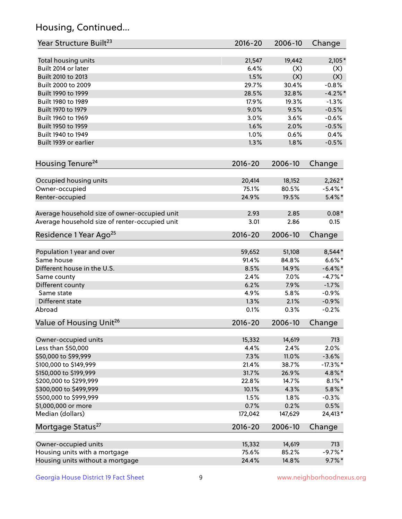## Housing, Continued...

| Year Structure Built <sup>23</sup>             | 2016-20     | 2006-10 | Change      |
|------------------------------------------------|-------------|---------|-------------|
| Total housing units                            | 21,547      | 19,442  | 2,105*      |
| Built 2014 or later                            | 6.4%        | (X)     | (X)         |
| Built 2010 to 2013                             | 1.5%        | (X)     | (X)         |
| Built 2000 to 2009                             | 29.7%       | 30.4%   | $-0.8%$     |
| Built 1990 to 1999                             | 28.5%       | 32.8%   | $-4.2\%$ *  |
| Built 1980 to 1989                             | 17.9%       | 19.3%   | $-1.3%$     |
| Built 1970 to 1979                             | 9.0%        | 9.5%    | $-0.5%$     |
| Built 1960 to 1969                             | 3.0%        | 3.6%    | $-0.6%$     |
| Built 1950 to 1959                             | 1.6%        | 2.0%    | $-0.5%$     |
| Built 1940 to 1949                             | 1.0%        | 0.6%    | 0.4%        |
| Built 1939 or earlier                          | 1.3%        | 1.8%    | $-0.5%$     |
| Housing Tenure <sup>24</sup>                   | $2016 - 20$ | 2006-10 | Change      |
| Occupied housing units                         | 20,414      | 18,152  | $2,262*$    |
| Owner-occupied                                 | 75.1%       | 80.5%   | $-5.4\%$ *  |
| Renter-occupied                                | 24.9%       | 19.5%   | $5.4\%$ *   |
| Average household size of owner-occupied unit  | 2.93        | 2.85    | $0.08*$     |
| Average household size of renter-occupied unit | 3.01        | 2.86    | 0.15        |
| Residence 1 Year Ago <sup>25</sup>             | 2016-20     | 2006-10 | Change      |
| Population 1 year and over                     | 59,652      | 51,108  | 8,544*      |
| Same house                                     | 91.4%       | 84.8%   | $6.6\%$ *   |
| Different house in the U.S.                    | 8.5%        | 14.9%   | $-6.4\%$ *  |
| Same county                                    | 2.4%        | 7.0%    | $-4.7%$ *   |
| Different county                               | 6.2%        | 7.9%    | $-1.7%$     |
| Same state                                     | 4.9%        | 5.8%    | $-0.9%$     |
| Different state                                | 1.3%        | 2.1%    | $-0.9%$     |
| Abroad                                         | 0.1%        | 0.3%    | $-0.2%$     |
| Value of Housing Unit <sup>26</sup>            | $2016 - 20$ | 2006-10 | Change      |
| Owner-occupied units                           | 15,332      | 14,619  | 713         |
| Less than \$50,000                             | 4.4%        | 2.4%    | 2.0%        |
| \$50,000 to \$99,999                           | 7.3%        | 11.0%   | $-3.6%$     |
| \$100,000 to \$149,999                         | 21.4%       | 38.7%   | $-17.3\%$ * |
| \$150,000 to \$199,999                         | 31.7%       | 26.9%   | 4.8%*       |
| \$200,000 to \$299,999                         | 22.8%       | 14.7%   | $8.1\%$ *   |
| \$300,000 to \$499,999                         | 10.1%       | 4.3%    | $5.8\%$ *   |
| \$500,000 to \$999,999                         | 1.5%        | 1.8%    | $-0.3%$     |
| \$1,000,000 or more                            | 0.7%        | 0.2%    | 0.5%        |
| Median (dollars)                               | 172,042     | 147,629 | 24,413*     |
| Mortgage Status <sup>27</sup>                  | $2016 - 20$ | 2006-10 | Change      |
| Owner-occupied units                           | 15,332      | 14,619  | 713         |
| Housing units with a mortgage                  | 75.6%       | 85.2%   | $-9.7%$ *   |
| Housing units without a mortgage               | 24.4%       | 14.8%   | $9.7\%$ *   |
|                                                |             |         |             |

Georgia House District 19 Fact Sheet 9 9 9 www.neighborhoodnexus.org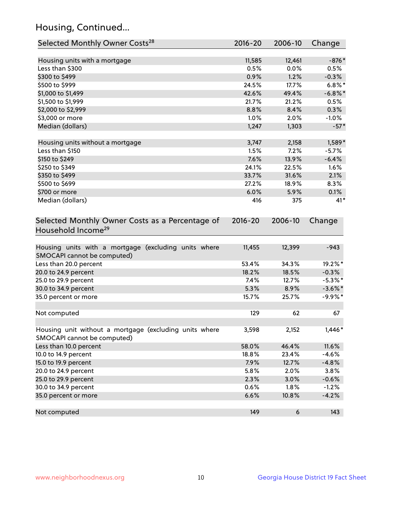## Housing, Continued...

| Selected Monthly Owner Costs <sup>28</sup>                                            | 2016-20     | 2006-10 | Change     |
|---------------------------------------------------------------------------------------|-------------|---------|------------|
| Housing units with a mortgage                                                         | 11,585      | 12,461  | $-876*$    |
| Less than \$300                                                                       | 0.5%        | 0.0%    | 0.5%       |
| \$300 to \$499                                                                        | 0.9%        | 1.2%    | $-0.3%$    |
| \$500 to \$999                                                                        | 24.5%       | 17.7%   | $6.8\%$ *  |
| \$1,000 to \$1,499                                                                    | 42.6%       | 49.4%   | $-6.8\%$ * |
| \$1,500 to \$1,999                                                                    | 21.7%       | 21.2%   | 0.5%       |
| \$2,000 to \$2,999                                                                    | 8.8%        | 8.4%    | 0.3%       |
| \$3,000 or more                                                                       | 1.0%        | 2.0%    | $-1.0%$    |
| Median (dollars)                                                                      | 1,247       | 1,303   | $-57*$     |
|                                                                                       |             |         |            |
| Housing units without a mortgage                                                      | 3,747       | 2,158   | 1,589*     |
| Less than \$150                                                                       | 1.5%        | 7.2%    | $-5.7%$    |
| \$150 to \$249                                                                        | 7.6%        | 13.9%   | $-6.4%$    |
| \$250 to \$349                                                                        | 24.1%       | 22.5%   | 1.6%       |
| \$350 to \$499                                                                        | 33.7%       | 31.6%   | 2.1%       |
| \$500 to \$699                                                                        | 27.2%       | 18.9%   | 8.3%       |
| \$700 or more                                                                         | 6.0%        | 5.9%    | 0.1%       |
| Median (dollars)                                                                      | 416         | 375     | $41*$      |
| Selected Monthly Owner Costs as a Percentage of<br>Household Income <sup>29</sup>     | $2016 - 20$ | 2006-10 | Change     |
| Housing units with a mortgage (excluding units where<br>SMOCAPI cannot be computed)   | 11,455      | 12,399  | $-943$     |
| Less than 20.0 percent                                                                | 53.4%       | 34.3%   | 19.2%*     |
| 20.0 to 24.9 percent                                                                  | 18.2%       | 18.5%   | $-0.3%$    |
| 25.0 to 29.9 percent                                                                  | 7.4%        | 12.7%   | $-5.3\%$ * |
| 30.0 to 34.9 percent                                                                  | 5.3%        | 8.9%    | $-3.6\%$ * |
| 35.0 percent or more                                                                  | 15.7%       | 25.7%   | $-9.9%$ *  |
| Not computed                                                                          | 129         | 62      | 67         |
| Housing unit without a mortgage (excluding units where<br>SMOCAPI cannot be computed) | 3,598       | 2,152   | $1,446*$   |
| Less than 10.0 percent                                                                | 58.0%       | 46.4%   | 11.6%      |
| 10.0 to 14.9 percent                                                                  | 18.8%       | 23.4%   | $-4.6%$    |
| 15.0 to 19.9 percent                                                                  | 7.9%        | 12.7%   | $-4.8%$    |
| 20.0 to 24.9 percent                                                                  | 5.8%        | 2.0%    | 3.8%       |
| 25.0 to 29.9 percent                                                                  | 2.3%        | 3.0%    | $-0.6%$    |
| 30.0 to 34.9 percent                                                                  | 0.6%        | 1.8%    | $-1.2%$    |
| 35.0 percent or more                                                                  | 6.6%        | 10.8%   | $-4.2%$    |
| Not computed                                                                          | 149         | 6       | 143        |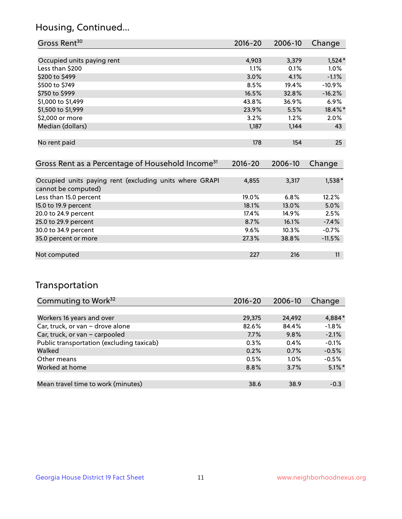## Housing, Continued...

| Gross Rent <sup>30</sup>                                     | 2016-20     | 2006-10 | Change   |
|--------------------------------------------------------------|-------------|---------|----------|
|                                                              |             |         |          |
| Occupied units paying rent                                   | 4,903       | 3,379   | $1,524*$ |
| Less than \$200                                              | $1.1\%$     | 0.1%    | $1.0\%$  |
| \$200 to \$499                                               | 3.0%        | 4.1%    | $-1.1%$  |
| \$500 to \$749                                               | 8.5%        | 19.4%   | $-10.9%$ |
| \$750 to \$999                                               | 16.5%       | 32.8%   | $-16.2%$ |
| \$1,000 to \$1,499                                           | 43.8%       | 36.9%   | $6.9\%$  |
| \$1,500 to \$1,999                                           | 23.9%       | 5.5%    | 18.4%*   |
| \$2,000 or more                                              | 3.2%        | 1.2%    | 2.0%     |
| Median (dollars)                                             | 1,187       | 1,144   | 43       |
|                                                              |             |         |          |
| No rent paid                                                 | 178         | 154     | 25       |
|                                                              |             |         |          |
| Gross Rent as a Percentage of Household Income <sup>31</sup> | $2016 - 20$ | 2006-10 | Change   |

| Occupied units paying rent (excluding units where GRAPI<br>cannot be computed) | 4,855 | 3,317    | $1,538*$ |
|--------------------------------------------------------------------------------|-------|----------|----------|
| Less than 15.0 percent                                                         | 19.0% | 6.8%     | 12.2%    |
| 15.0 to 19.9 percent                                                           | 18.1% | $13.0\%$ | 5.0%     |
| 20.0 to 24.9 percent                                                           | 17.4% | 14.9%    | 2.5%     |
| 25.0 to 29.9 percent                                                           | 8.7%  | 16.1%    | $-7.4%$  |
| 30.0 to 34.9 percent                                                           | 9.6%  | 10.3%    | $-0.7%$  |
| 35.0 percent or more                                                           | 27.3% | 38.8%    | $-11.5%$ |
|                                                                                |       |          |          |
| Not computed                                                                   | 227   | 216      | 11       |

## Transportation

| Commuting to Work <sup>32</sup>           | 2016-20 | 2006-10 | Change    |
|-------------------------------------------|---------|---------|-----------|
|                                           |         |         |           |
| Workers 16 years and over                 | 29,375  | 24,492  | 4,884*    |
| Car, truck, or van - drove alone          | 82.6%   | 84.4%   | $-1.8%$   |
| Car, truck, or van - carpooled            | 7.7%    | 9.8%    | $-2.1%$   |
| Public transportation (excluding taxicab) | 0.3%    | 0.4%    | $-0.1%$   |
| Walked                                    | 0.2%    | 0.7%    | $-0.5%$   |
| Other means                               | 0.5%    | $1.0\%$ | $-0.5%$   |
| Worked at home                            | 8.8%    | 3.7%    | $5.1\%$ * |
|                                           |         |         |           |
| Mean travel time to work (minutes)        | 38.6    | 38.9    | $-0.3$    |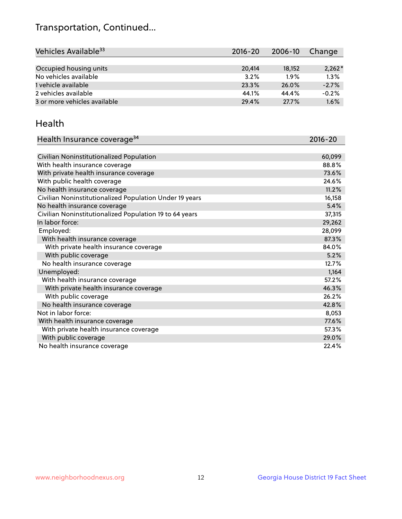## Transportation, Continued...

| Vehicles Available <sup>33</sup> | 2016-20 | 2006-10 | Change   |
|----------------------------------|---------|---------|----------|
|                                  |         |         |          |
| Occupied housing units           | 20,414  | 18,152  | $2,262*$ |
| No vehicles available            | 3.2%    | 1.9%    | 1.3%     |
| 1 vehicle available              | 23.3%   | 26.0%   | $-2.7%$  |
| 2 vehicles available             | 44.1%   | 44.4%   | $-0.2%$  |
| 3 or more vehicles available     | 29.4%   | 27.7%   | 1.6%     |

#### Health

| Health Insurance coverage <sup>34</sup>                 | 2016-20 |
|---------------------------------------------------------|---------|
|                                                         |         |
| Civilian Noninstitutionalized Population                | 60,099  |
| With health insurance coverage                          | 88.8%   |
| With private health insurance coverage                  | 73.6%   |
| With public health coverage                             | 24.6%   |
| No health insurance coverage                            | 11.2%   |
| Civilian Noninstitutionalized Population Under 19 years | 16,158  |
| No health insurance coverage                            | 5.4%    |
| Civilian Noninstitutionalized Population 19 to 64 years | 37,315  |
| In labor force:                                         | 29,262  |
| Employed:                                               | 28,099  |
| With health insurance coverage                          | 87.3%   |
| With private health insurance coverage                  | 84.0%   |
| With public coverage                                    | 5.2%    |
| No health insurance coverage                            | 12.7%   |
| Unemployed:                                             | 1,164   |
| With health insurance coverage                          | 57.2%   |
| With private health insurance coverage                  | 46.3%   |
| With public coverage                                    | 26.2%   |
| No health insurance coverage                            | 42.8%   |
| Not in labor force:                                     | 8,053   |
| With health insurance coverage                          | 77.6%   |
| With private health insurance coverage                  | 57.3%   |
| With public coverage                                    | 29.0%   |
| No health insurance coverage                            | 22.4%   |